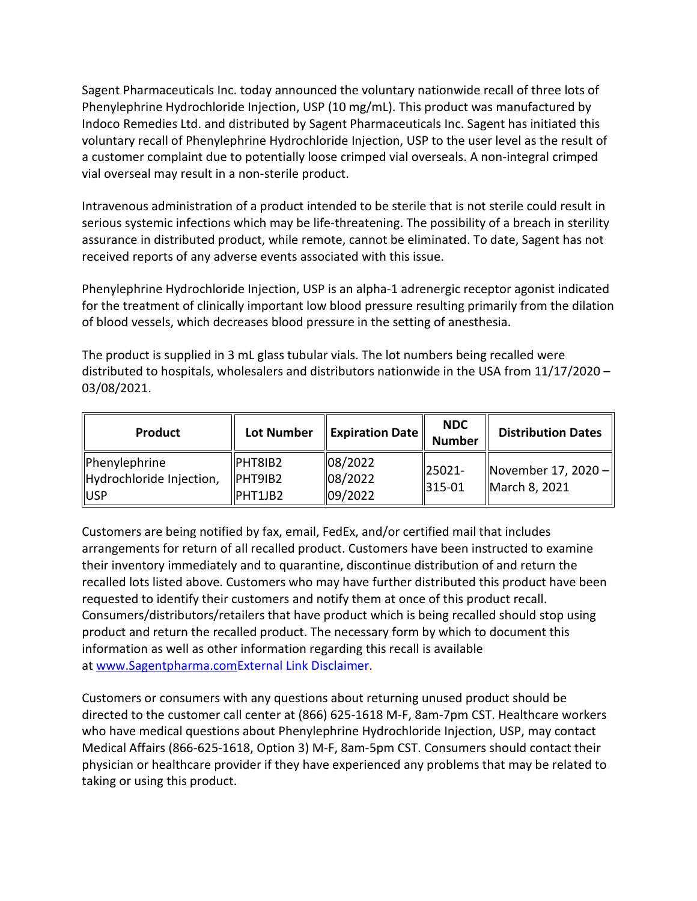Sagent Pharmaceuticals Inc. today announced the voluntary nationwide recall of three lots of Phenylephrine Hydrochloride Injection, USP (10 mg/mL). This product was manufactured by Indoco Remedies Ltd. and distributed by Sagent Pharmaceuticals Inc. Sagent has initiated this voluntary recall of Phenylephrine Hydrochloride Injection, USP to the user level as the result of a customer complaint due to potentially loose crimped vial overseals. A non-integral crimped vial overseal may result in a non-sterile product.

Intravenous administration of a product intended to be sterile that is not sterile could result in serious systemic infections which may be life-threatening. The possibility of a breach in sterility assurance in distributed product, while remote, cannot be eliminated. To date, Sagent has not received reports of any adverse events associated with this issue.

Phenylephrine Hydrochloride Injection, USP is an alpha-1 adrenergic receptor agonist indicated for the treatment of clinically important low blood pressure resulting primarily from the dilation of blood vessels, which decreases blood pressure in the setting of anesthesia.

The product is supplied in 3 mL glass tubular vials. The lot numbers being recalled were distributed to hospitals, wholesalers and distributors nationwide in the USA from 11/17/2020 – 03/08/2021.

| <b>Product</b>           | <b>Lot Number</b>   | <b>Expiration Date</b> | <b>NDC</b><br><b>Number</b> | <b>Distribution Dates</b>            |
|--------------------------|---------------------|------------------------|-----------------------------|--------------------------------------|
| Phenylephrine            | PHT8IB2             | 08/2022                | 25021-<br>$ 315 - 01$       | November 17, 2020 -<br>March 8, 2021 |
| Hydrochloride Injection, | $\parallel$ PHT9IB2 | 08/2022                |                             |                                      |
| <b>IUSP</b>              | PHT1JB2             | 09/2022                |                             |                                      |

Customers are being notified by fax, email, FedEx, and/or certified mail that includes arrangements for return of all recalled product. Customers have been instructed to examine their inventory immediately and to quarantine, discontinue distribution of and return the recalled lots listed above. Customers who may have further distributed this product have been requested to identify their customers and notify them at once of this product recall. Consumers/distributors/retailers that have product which is being recalled should stop using product and return the recalled product. The necessary form by which to document this information as well as other information regarding this recall is available at [www.Sagentpharma.com](https://urldefense.proofpoint.com/v2/url?u=http-3A__www.sagentpharma.com_&d=DwMFaQ&c=LHIwbLRMLqgNuqr1uGLfTA&r=2ykM7j3cEyKMbR6Jyy9zHSWNI2CvWOWnZeKnQ2Nqs2w&m=McT-SoPKLB7XPspjm0qqEr2TPfncVa8hVjIB24okIq0&s=xGlAVGOEsUOkmqhP_L-vT9kvONEv8ZhHV_D6ak1T4yQ&e=)[External Link Disclaimer.](https://urldefense.proofpoint.com/v2/url?u=http-3A__www.fda.gov_about-2Dfda_website-2Dpolicies_website-2Ddisclaimer&d=DwMFaQ&c=LHIwbLRMLqgNuqr1uGLfTA&r=2ykM7j3cEyKMbR6Jyy9zHSWNI2CvWOWnZeKnQ2Nqs2w&m=McT-SoPKLB7XPspjm0qqEr2TPfncVa8hVjIB24okIq0&s=47AvummWwqTmHlNT3usXOTLMjsrz6Qny1tAw3jo6D3g&e=)

Customers or consumers with any questions about returning unused product should be directed to the customer call center at (866) 625-1618 M-F, 8am-7pm CST. Healthcare workers who have medical questions about Phenylephrine Hydrochloride Injection, USP, may contact Medical Affairs (866-625-1618, Option 3) M-F, 8am-5pm CST. Consumers should contact their physician or healthcare provider if they have experienced any problems that may be related to taking or using this product.